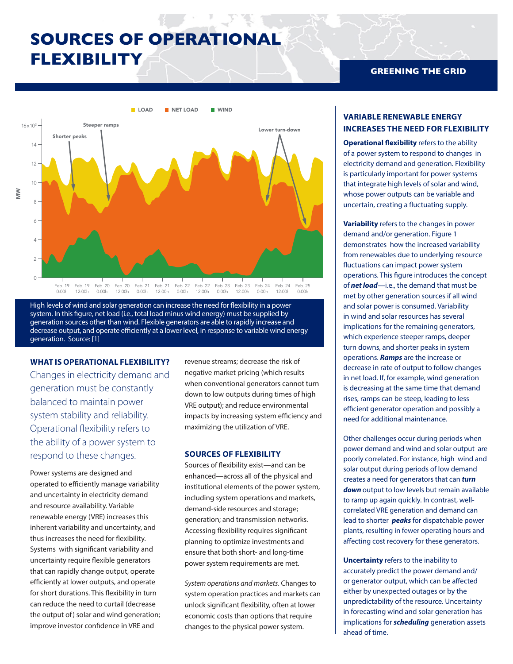# **SOURCES OF OPERATIONAL FLEXIBILITY**



High levels of wind and solar generation can increase the need for flexibility in a power system. In this figure, net load (i.e., total load minus wind energy) must be supplied by generation sources other than wind. Flexible generators are able to rapidly increase and decrease output, and operate efficiently at a lower level, in response to variable wind energy generation. Source: [1]

### **WHAT IS OPERATIONAL FLEXIBILITY?**

Changes in electricity demand and generation must be constantly balanced to maintain power system stability and reliability. Operational flexibility refers to the ability of a power system to respond to these changes.

Power systems are designed and operated to efficiently manage variability and uncertainty in electricity demand and resource availability. Variable renewable energy (VRE) increases this inherent variability and uncertainty, and thus increases the need for flexibility. Systems with significant variability and uncertainty require flexible generators that can rapidly change output, operate efficiently at lower outputs, and operate for short durations. This flexibility in turn can reduce the need to curtail (decrease the output of) solar and wind generation; improve investor confidence in VRE and

revenue streams; decrease the risk of negative market pricing (which results when conventional generators cannot turn down to low outputs during times of high VRE output); and reduce environmental impacts by increasing system efficiency and maximizing the utilization of VRE.

#### **SOURCES OF FLEXIBILITY**

Sources of flexibility exist—and can be enhanced—across all of the physical and institutional elements of the power system, including system operations and markets, demand-side resources and storage; generation; and transmission networks. Accessing flexibility requires significant planning to optimize investments and ensure that both short- and long-time power system requirements are met.

*System operations and markets.* Changes to system operation practices and markets can unlock significant flexibility, often at lower economic costs than options that require changes to the physical power system.

## **GREENING THE GRID**

# **VARIABLE RENEWABLE ENERGY INCREASES THE NEED FOR FLEXIBILITY**

**Operational flexibility** refers to the ability of a power system to respond to changes in electricity demand and generation. Flexibility is particularly important for power systems that integrate high levels of solar and wind, whose power outputs can be variable and uncertain, creating a fluctuating supply.

**Variability** refers to the changes in power demand and/or generation. Figure 1 demonstrates how the increased variability from renewables due to underlying resource fluctuations can impact power system operations. This figure introduces the concept of *net load*—i.e., the demand that must be met by other generation sources if all wind and solar power is consumed. Variability in wind and solar resources has several implications for the remaining generators, which experience steeper ramps, deeper turn downs, and shorter peaks in system operations. *Ramps* are the increase or decrease in rate of output to follow changes in net load. If, for example, wind generation is decreasing at the same time that demand rises, ramps can be steep, leading to less efficient generator operation and possibly a need for additional maintenance.

Other challenges occur during periods when power demand and wind and solar output are poorly correlated. For instance, high wind and solar output during periods of low demand creates a need for generators that can *turn down* output to low levels but remain available to ramp up again quickly. In contrast, wellcorrelated VRE generation and demand can lead to shorter *peaks* for dispatchable power plants, resulting in fewer operating hours and affecting cost recovery for these generators.

**Uncertainty** refers to the inability to accurately predict the power demand and/ or generator output, which can be affected either by unexpected outages or by the unpredictability of the resource. Uncertainty in forecasting wind and solar generation has implications for *scheduling* generation assets ahead of time.